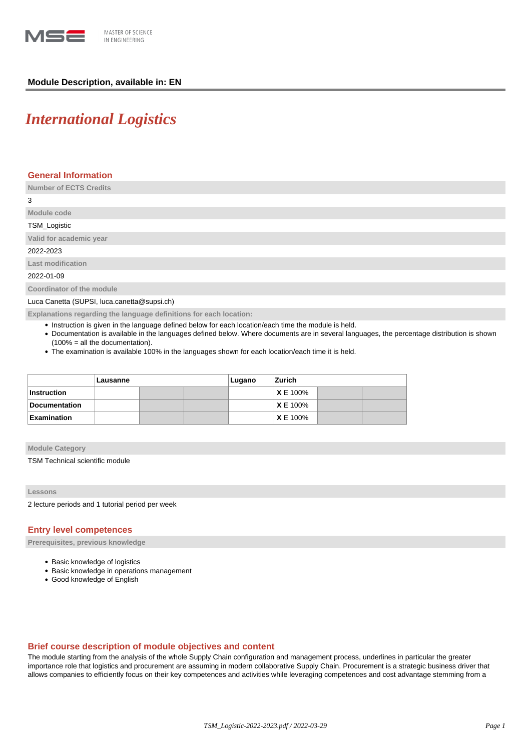

# **Module Description, available in: EN**

# *International Logistics*

## **General Information**

**Number of ECTS Credits**

3 **Module code** TSM\_Logistic **Valid for academic year** 2022-2023 **Last modification** 2022-01-09

**Coordinator of the module**

Luca Canetta (SUPSI, luca.canetta@supsi.ch)

**Explanations regarding the language definitions for each location:**

- Instruction is given in the language defined below for each location/each time the module is held.
- Documentation is available in the languages defined below. Where documents are in several languages, the percentage distribution is shown (100% = all the documentation).
- The examination is available 100% in the languages shown for each location/each time it is held.

|                      | Lausanne |  |  | Lugano | Zurich          |  |  |
|----------------------|----------|--|--|--------|-----------------|--|--|
| Instruction          |          |  |  |        | <b>XE 100%</b>  |  |  |
| <b>Documentation</b> |          |  |  |        | <b>XE 100%</b>  |  |  |
| Examination          |          |  |  |        | <b>X</b> E 100% |  |  |

**Module Category**

TSM Technical scientific module

**Lessons**

2 lecture periods and 1 tutorial period per week

### **Entry level competences**

**Prerequisites, previous knowledge**

- Basic knowledge of logistics
- Basic knowledge in operations management
- Good knowledge of English

## **Brief course description of module objectives and content**

The module starting from the analysis of the whole Supply Chain configuration and management process, underlines in particular the greater importance role that logistics and procurement are assuming in modern collaborative Supply Chain. Procurement is a strategic business driver that allows companies to efficiently focus on their key competences and activities while leveraging competences and cost advantage stemming from a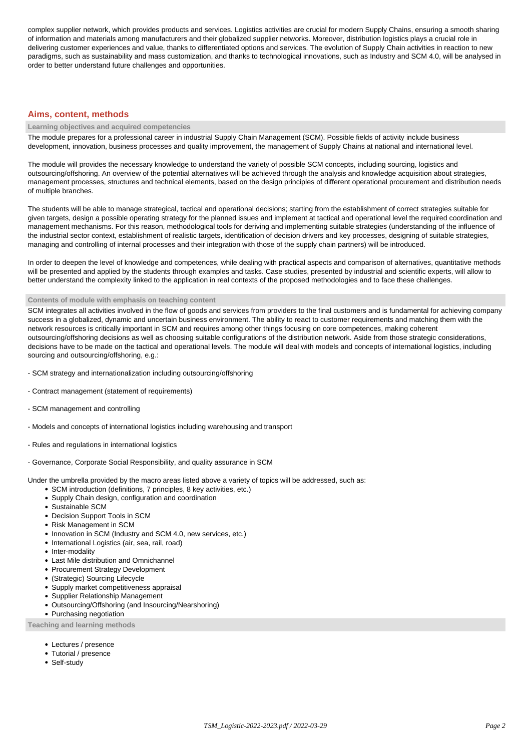complex supplier network, which provides products and services. Logistics activities are crucial for modern Supply Chains, ensuring a smooth sharing of information and materials among manufacturers and their globalized supplier networks. Moreover, distribution logistics plays a crucial role in delivering customer experiences and value, thanks to differentiated options and services. The evolution of Supply Chain activities in reaction to new paradigms, such as sustainability and mass customization, and thanks to technological innovations, such as Industry and SCM 4.0, will be analysed in order to better understand future challenges and opportunities.

# **Aims, content, methods**

#### **Learning objectives and acquired competencies**

The module prepares for a professional career in industrial Supply Chain Management (SCM). Possible fields of activity include business development, innovation, business processes and quality improvement, the management of Supply Chains at national and international level.

The module will provides the necessary knowledge to understand the variety of possible SCM concepts, including sourcing, logistics and outsourcing/offshoring. An overview of the potential alternatives will be achieved through the analysis and knowledge acquisition about strategies, management processes, structures and technical elements, based on the design principles of different operational procurement and distribution needs of multiple branches.

The students will be able to manage strategical, tactical and operational decisions; starting from the establishment of correct strategies suitable for given targets, design a possible operating strategy for the planned issues and implement at tactical and operational level the required coordination and management mechanisms. For this reason, methodological tools for deriving and implementing suitable strategies (understanding of the influence of the industrial sector context, establishment of realistic targets, identification of decision drivers and key processes, designing of suitable strategies, managing and controlling of internal processes and their integration with those of the supply chain partners) will be introduced.

In order to deepen the level of knowledge and competences, while dealing with practical aspects and comparison of alternatives, quantitative methods will be presented and applied by the students through examples and tasks. Case studies, presented by industrial and scientific experts, will allow to better understand the complexity linked to the application in real contexts of the proposed methodologies and to face these challenges.

#### **Contents of module with emphasis on teaching content**

SCM integrates all activities involved in the flow of goods and services from providers to the final customers and is fundamental for achieving company success in a globalized, dynamic and uncertain business environment. The ability to react to customer requirements and matching them with the network resources is critically important in SCM and requires among other things focusing on core competences, making coherent outsourcing/offshoring decisions as well as choosing suitable configurations of the distribution network. Aside from those strategic considerations, decisions have to be made on the tactical and operational levels. The module will deal with models and concepts of international logistics, including sourcing and outsourcing/offshoring, e.g.:

- SCM strategy and internationalization including outsourcing/offshoring
- Contract management (statement of requirements)
- SCM management and controlling
- Models and concepts of international logistics including warehousing and transport
- Rules and regulations in international logistics
- Governance, Corporate Social Responsibility, and quality assurance in SCM

Under the umbrella provided by the macro areas listed above a variety of topics will be addressed, such as:

- SCM introduction (definitions, 7 principles, 8 key activities, etc.)
- Supply Chain design, configuration and coordination
- Sustainable SCM
- Decision Support Tools in SCM
- Risk Management in SCM
- Innovation in SCM (Industry and SCM 4.0, new services, etc.)
- International Logistics (air, sea, rail, road)
- Inter-modality
- Last Mile distribution and Omnichannel
- Procurement Strategy Development
- (Strategic) Sourcing Lifecycle
- Supply market competitiveness appraisal
- Supplier Relationship Management
- Outsourcing/Offshoring (and Insourcing/Nearshoring)
- Purchasing negotiation

**Teaching and learning methods**

- Lectures / presence
- Tutorial / presence
- Self-study